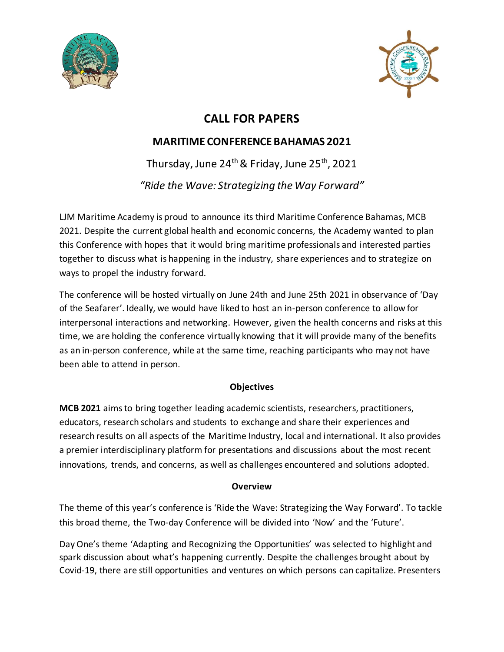



# **CALL FOR PAPERS**

# **MARITIME CONFERENCE BAHAMAS 2021**

Thursday, June 24<sup>th</sup> & Friday, June 25<sup>th</sup>, 2021 *"Ride the Wave: Strategizing the Way Forward"*

LJM Maritime Academy is proud to announce its third Maritime Conference Bahamas, MCB 2021. Despite the current global health and economic concerns, the Academy wanted to plan this Conference with hopes that it would bring maritime professionals and interested parties together to discuss what is happening in the industry, share experiences and to strategize on ways to propel the industry forward.

The conference will be hosted virtually on June 24th and June 25th 2021 in observance of 'Day of the Seafarer'. Ideally, we would have liked to host an in-person conference to allow for interpersonal interactions and networking. However, given the health concerns and risks at this time, we are holding the conference virtually knowing that it will provide many of the benefits as an in-person conference, while at the same time, reaching participants who may not have been able to attend in person.

### **Objectives**

**MCB 2021** aims to bring together leading academic scientists, researchers, practitioners, educators, research scholars and students to exchange and share their experiences and research results on all aspects of the Maritime Industry, local and international. It also provides a premier interdisciplinary platform for presentations and discussions about the most recent innovations, trends, and concerns, as well as challenges encountered and solutions adopted.

### **Overview**

The theme of this year's conference is 'Ride the Wave: Strategizing the Way Forward'. To tackle this broad theme, the Two-day Conference will be divided into 'Now' and the 'Future'.

Day One's theme 'Adapting and Recognizing the Opportunities' was selected to highlight and spark discussion about what's happening currently. Despite the challenges brought about by Covid-19, there are still opportunities and ventures on which persons can capitalize. Presenters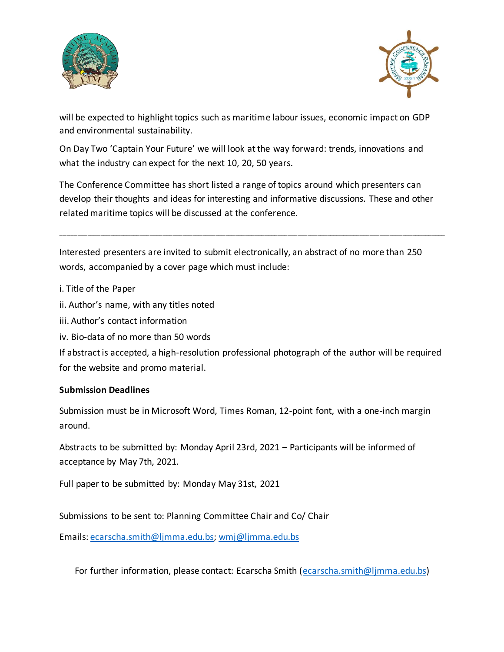



will be expected to highlight topics such as maritime labour issues, economic impact on GDP and environmental sustainability.

On Day Two 'Captain Your Future' we will look at the way forward: trends, innovations and what the industry can expect for the next 10, 20, 50 years.

The Conference Committee has short listed a range of topics around which presenters can develop their thoughts and ideas for interesting and informative discussions. These and other related maritime topics will be discussed at the conference.

\_\_\_\_\_\_\_\_\_\_\_\_\_\_\_\_\_\_\_\_\_\_\_\_\_\_\_\_\_\_\_\_\_\_\_\_\_\_\_\_\_\_\_\_\_\_\_\_\_\_\_\_\_\_\_\_\_\_\_\_\_\_\_\_\_\_\_\_\_\_\_\_\_\_\_\_\_\_\_\_\_\_\_\_\_\_\_\_\_\_\_\_\_\_\_\_\_\_\_\_\_\_\_\_\_\_\_\_\_\_\_\_\_\_\_\_\_

Interested presenters are invited to submit electronically, an abstract of no more than 250 words, accompanied by a cover page which must include:

- i. Title of the Paper
- ii. Author's name, with any titles noted
- iii. Author's contact information
- iv. Bio-data of no more than 50 words

If abstract is accepted, a high-resolution professional photograph of the author will be required for the website and promo material.

#### **Submission Deadlines**

Submission must be in Microsoft Word, Times Roman, 12-point font, with a one-inch margin around.

Abstracts to be submitted by: Monday April 23rd, 2021 – Participants will be informed of acceptance by May 7th, 2021.

Full paper to be submitted by: Monday May 31st, 2021

Submissions to be sent to: Planning Committee Chair and Co/ Chair

Emails: ecarscha.smith@ljmma.edu.bs; wmj@ljmma.edu.bs

For further information, please contact: Ecarscha Smith (ecarscha.smith@ljmma.edu.bs)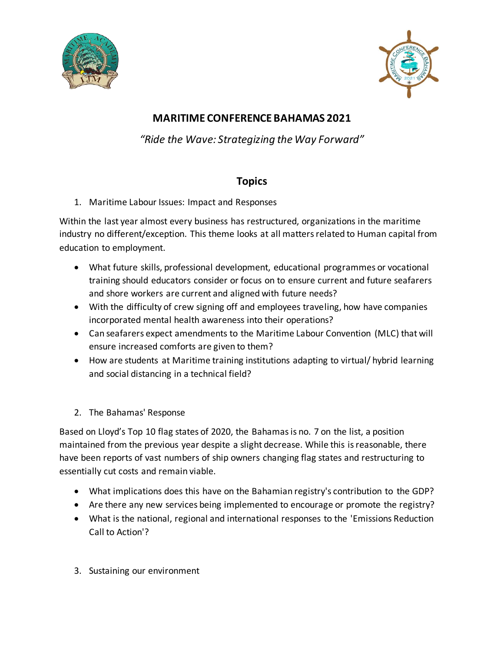



## **MARITIME CONFERENCE BAHAMAS 2021**

*"Ride the Wave: Strategizing the Way Forward"*

## **Topics**

1. Maritime Labour Issues: Impact and Responses

Within the last year almost every business has restructured, organizations in the maritime industry no different/exception. This theme looks at all matters related to Human capital from education to employment.

- What future skills, professional development, educational programmes or vocational training should educators consider or focus on to ensure current and future seafarers and shore workers are current and aligned with future needs?
- With the difficulty of crew signing off and employees traveling, how have companies incorporated mental health awareness into their operations?
- Can seafarers expect amendments to the Maritime Labour Convention (MLC) that will ensure increased comforts are given to them?
- How are students at Maritime training institutions adapting to virtual/ hybrid learning and social distancing in a technical field?
- 2. The Bahamas' Response

Based on Lloyd's Top 10 flag states of 2020, the Bahamas is no. 7 on the list, a position maintained from the previous year despite a slight decrease. While this is reasonable, there have been reports of vast numbers of ship owners changing flag states and restructuring to essentially cut costs and remain viable.

- What implications does this have on the Bahamian registry's contribution to the GDP?
- Are there any new services being implemented to encourage or promote the registry?
- What is the national, regional and international responses to the 'Emissions Reduction Call to Action'?
- 3. Sustaining our environment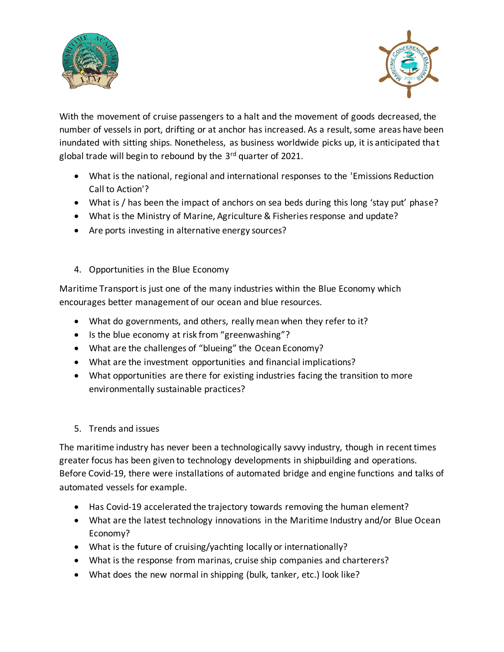



With the movement of cruise passengers to a halt and the movement of goods decreased, the number of vessels in port, drifting or at anchor has increased. As a result, some areas have been inundated with sitting ships. Nonetheless, as business worldwide picks up, it is anticipated that global trade will begin to rebound by the  $3<sup>rd</sup>$  quarter of 2021.

- What is the national, regional and international responses to the 'Emissions Reduction Call to Action'?
- What is / has been the impact of anchors on sea beds during this long 'stay put' phase?
- What is the Ministry of Marine, Agriculture & Fisheries response and update?
- Are ports investing in alternative energy sources?
- 4. Opportunities in the Blue Economy

Maritime Transport is just one of the many industries within the Blue Economy which encourages better management of our ocean and blue resources.

- What do governments, and others, really mean when they refer to it?
- Is the blue economy at risk from "greenwashing"?
- What are the challenges of "blueing" the Ocean Economy?
- What are the investment opportunities and financial implications?
- What opportunities are there for existing industries facing the transition to more environmentally sustainable practices?
- 5. Trends and issues

The maritime industry has never been a technologically savvy industry, though in recent times greater focus has been given to technology developments in shipbuilding and operations. Before Covid-19, there were installations of automated bridge and engine functions and talks of automated vessels for example.

- Has Covid-19 accelerated the trajectory towards removing the human element?
- What are the latest technology innovations in the Maritime Industry and/or Blue Ocean Economy?
- What is the future of cruising/yachting locally or internationally?
- What is the response from marinas, cruise ship companies and charterers?
- What does the new normal in shipping (bulk, tanker, etc.) look like?